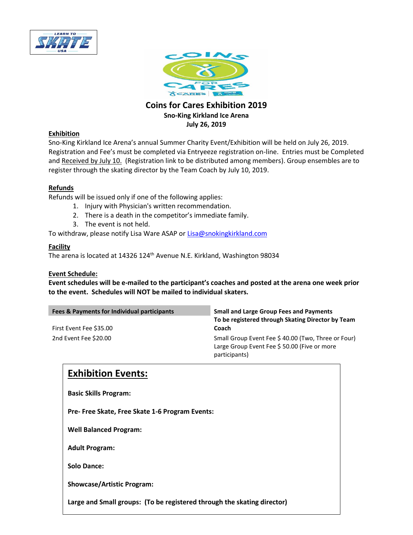



#### **Coins for Cares Exhibition 2019 Sno-King Kirkland Ice Arena July 26, 2019**

#### **Exhibition**

Sno-King Kirkland Ice Arena's annual Summer Charity Event/Exhibition will be held on July 26, 2019. Registration and Fee's must be completed via Entryeeze registration on-line. Entries must be Completed and Received by July 10. (Registration link to be distributed among members). Group ensembles are to register through the skating director by the Team Coach by July 10, 2019.

#### **Refunds**

Refunds will be issued only if one of the following applies:

- 1. Injury with Physician's written recommendation.
- 2. There is a death in the competitor's immediate family.
- 3. The event is not held.

To withdraw, please notify Lisa Ware ASAP o[r Lisa@snokingkirkland.com](mailto:Lisa@snokingkirkland.com)

#### **Facility**

The arena is located at 14326 124<sup>th</sup> Avenue N.E. Kirkland, Washington 98034

#### **Event Schedule:**

**Event schedules will be e-mailed to the participant's coaches and posted at the arena one week prior to the event. Schedules will NOT be mailed to individual skaters.** 

| Fees & Payments for Individual participants<br>First Event Fee \$35.00 | <b>Small and Large Group Fees and Payments</b><br>To be registered through Skating Director by Team<br>Coach       |
|------------------------------------------------------------------------|--------------------------------------------------------------------------------------------------------------------|
| 2nd Event Fee \$20.00                                                  | Small Group Event Fee \$40.00 (Two, Three or Four)<br>Large Group Event Fee \$50.00 (Five or more<br>participants) |

### **Exhibition Events:**

**Basic Skills Program:**

**Pre- Free Skate, Free Skate 1-6 Program Events:**

**Well Balanced Program:** 

**Adult Program:**

**Solo Dance:**

**Showcase/Artistic Program:** 

**Large and Small groups: (To be registered through the skating director)**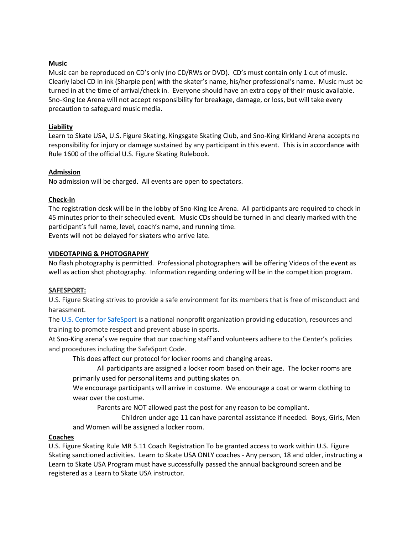#### **Music**

Music can be reproduced on CD's only (no CD/RWs or DVD). CD's must contain only 1 cut of music. Clearly label CD in ink (Sharpie pen) with the skater's name, his/her professional's name. Music must be turned in at the time of arrival/check in. Everyone should have an extra copy of their music available. Sno-King Ice Arena will not accept responsibility for breakage, damage, or loss, but will take every precaution to safeguard music media.

#### **Liability**

Learn to Skate USA, U.S. Figure Skating, Kingsgate Skating Club, and Sno-King Kirkland Arena accepts no responsibility for injury or damage sustained by any participant in this event. This is in accordance with Rule 1600 of the official U.S. Figure Skating Rulebook.

#### **Admission**

No admission will be charged. All events are open to spectators.

#### **Check-in**

The registration desk will be in the lobby of Sno-King Ice Arena. All participants are required to check in 45 minutes prior to their scheduled event. Music CDs should be turned in and clearly marked with the participant's full name, level, coach's name, and running time. Events will not be delayed for skaters who arrive late.

#### **VIDEOTAPING & PHOTOGRAPHY**

No flash photography is permitted. Professional photographers will be offering Videos of the event as well as action shot photography. Information regarding ordering will be in the competition program.

#### **SAFESPORT:**

U.S. Figure Skating strives to provide a safe environment for its members that is free of misconduct and harassment.

The U.S. Center for [SafeSport](https://safesport.org/) is a national nonprofit organization providing education, resources and training to promote respect and prevent abuse in sports.

At Sno-King arena's we require that our coaching staff and volunteers adhere to the Center's policies and procedures including the SafeSport Code.

This does affect our protocol for locker rooms and changing areas.

All participants are assigned a locker room based on their age. The locker rooms are primarily used for personal items and putting skates on.

We encourage participants will arrive in costume. We encourage a coat or warm clothing to wear over the costume.

Parents are NOT allowed past the post for any reason to be compliant.

Children under age 11 can have parental assistance if needed. Boys, Girls, Men and Women will be assigned a locker room.

#### **Coaches**

U.S. Figure Skating Rule MR 5.11 Coach Registration To be granted access to work within U.S. Figure Skating sanctioned activities. Learn to Skate USA ONLY coaches - Any person, 18 and older, instructing a Learn to Skate USA Program must have successfully passed the annual background screen and be registered as a Learn to Skate USA instructor.